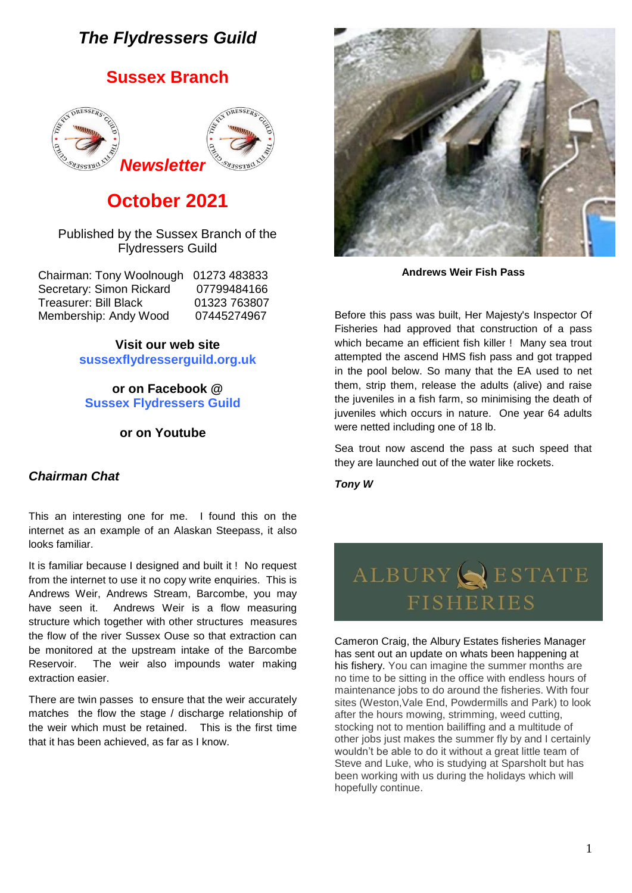# *The Flydressers Guild*

# **Sussex Branch**



# **October 2021**

#### Published by the Sussex Branch of the Flydressers Guild

| Chairman: Tony Woolnough 01273 483833 |
|---------------------------------------|
| 07799484166                           |
| 01323 763807                          |
| 07445274967                           |
|                                       |

**Visit our web site sussexflydresserguild.org.uk**

**or on Facebook @ Sussex Flydressers Guild**

**or on Youtube**

## *Chairman Chat*

This an interesting one for me. I found this on the internet as an example of an Alaskan Steepass, it also looks familiar.

It is familiar because I designed and built it ! No request from the internet to use it no copy write enquiries. This is Andrews Weir, Andrews Stream, Barcombe, you may have seen it. Andrews Weir is a flow measuring structure which together with other structures measures the flow of the river Sussex Ouse so that extraction can be monitored at the upstream intake of the Barcombe Reservoir. The weir also impounds water making extraction easier.

There are twin passes to ensure that the weir accurately matches the flow the stage / discharge relationship of the weir which must be retained. This is the first time that it has been achieved, as far as I know.



**Andrews Weir Fish Pass**

Before this pass was built, Her Majesty's Inspector Of Fisheries had approved that construction of a pass which became an efficient fish killer ! Many sea trout attempted the ascend HMS fish pass and got trapped in the pool below. So many that the EA used to net them, strip them, release the adults (alive) and raise the juveniles in a fish farm, so minimising the death of juveniles which occurs in nature. One year 64 adults were netted including one of 18 lb.

Sea trout now ascend the pass at such speed that they are launched out of the water like rockets.

*Tony W*

# ALBURY SESTATE **FISHERIES**

Cameron Craig, the Albury Estates fisheries Manager has sent out an update on whats been happening at his fishery. You can imagine the summer months are no time to be sitting in the office with endless hours of maintenance jobs to do around the fisheries. With four sites (Weston,Vale End, Powdermills and Park) to look after the hours mowing, strimming, weed cutting, stocking not to mention bailiffing and a multitude of other jobs just makes the summer fly by and I certainly wouldn't be able to do it without a great little team of Steve and Luke, who is studying at Sparsholt but has been working with us during the holidays which will hopefully continue.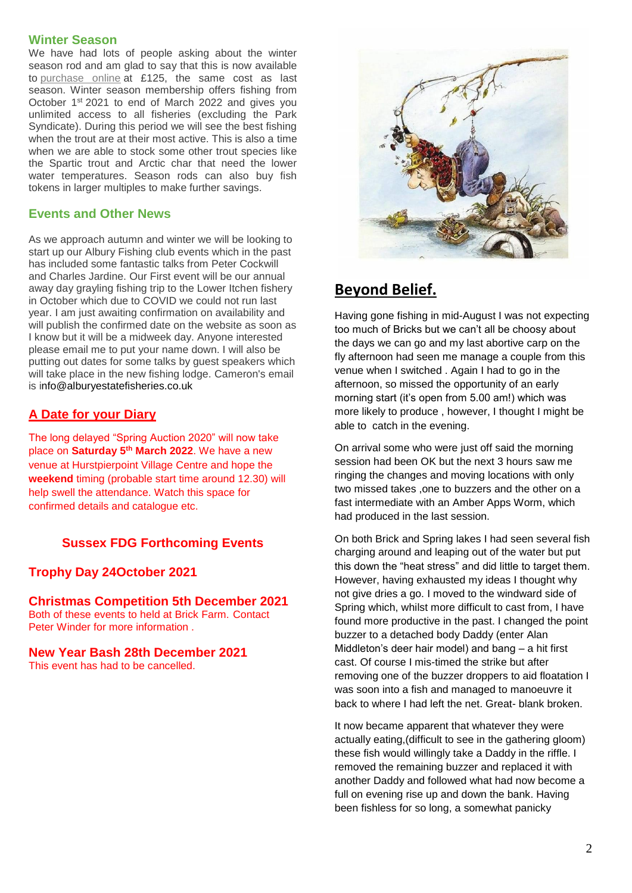#### **Winter Season**

We have had lots of people asking about the winter season rod and am glad to say that this is now available to [purchase online](https://click.icptrack.com/icp/relay.php?r=40948008&msgid=373196&act=OC9Z&c=1300026&destination=https%3A%2F%2Falburyestatefisheries.co.uk%2Fproduct%2Fwinter-membership-oct-march-2021%2F%3Futm_source%3DiContact%26utm_medium%3Demail%26utm_campaign%3Dalbury-estate-fisheries%26utm_content%3DSeptember%2Bnewsletter&cf=19844&v=0be37d3e09d936492bd5b50f4a99f23c1545fe4d8ac6b646df28dc6024f4053d) at £125, the same cost as last season. Winter season membership offers fishing from October 1st 2021 to end of March 2022 and gives you unlimited access to all fisheries (excluding the Park Syndicate). During this period we will see the best fishing when the trout are at their most active. This is also a time when we are able to stock some other trout species like the Spartic trout and Arctic char that need the lower water temperatures. Season rods can also buy fish tokens in larger multiples to make further savings.

#### **Events and Other News**

As we approach autumn and winter we will be looking to start up our Albury Fishing club events which in the past has included some fantastic talks from Peter Cockwill and Charles Jardine. Our First event will be our annual away day grayling fishing trip to the Lower Itchen fishery in October which due to COVID we could not run last year. I am just awaiting confirmation on availability and will publish the confirmed date on the website as soon as I know but it will be a midweek day. Anyone interested please email me to put your name down. I will also be putting out dates for some talks by guest speakers which will take place in the new fishing lodge. Cameron's email is info@alburyestatefisheries.co.uk

# **A Date for your Diary**

The long delayed "Spring Auction 2020" will now take place on **Saturday 5th March 2022**. We have a new venue at Hurstpierpoint Village Centre and hope the **weekend** timing (probable start time around 12.30) will help swell the attendance. Watch this space for confirmed details and catalogue etc.

## **Sussex FDG Forthcoming Events**

#### **Trophy Day 24October 2021**

**Christmas Competition 5th December 2021**  Both of these events to held at Brick Farm. Contact Peter Winder for more information .

# **New Year Bash 28th December 2021**

This event has had to be cancelled.



# **Beyond Belief.**

Having gone fishing in mid-August I was not expecting too much of Bricks but we can't all be choosy about the days we can go and my last abortive carp on the fly afternoon had seen me manage a couple from this venue when I switched . Again I had to go in the afternoon, so missed the opportunity of an early morning start (it's open from 5.00 am!) which was more likely to produce , however, I thought I might be able to catch in the evening.

On arrival some who were just off said the morning session had been OK but the next 3 hours saw me ringing the changes and moving locations with only two missed takes ,one to buzzers and the other on a fast intermediate with an Amber Apps Worm, which had produced in the last session.

On both Brick and Spring lakes I had seen several fish charging around and leaping out of the water but put this down the "heat stress" and did little to target them. However, having exhausted my ideas I thought why not give dries a go. I moved to the windward side of Spring which, whilst more difficult to cast from, I have found more productive in the past. I changed the point buzzer to a detached body Daddy (enter Alan Middleton's deer hair model) and bang – a hit first cast. Of course I mis-timed the strike but after removing one of the buzzer droppers to aid floatation I was soon into a fish and managed to manoeuvre it back to where I had left the net. Great- blank broken.

It now became apparent that whatever they were actually eating,(difficult to see in the gathering gloom) these fish would willingly take a Daddy in the riffle. I removed the remaining buzzer and replaced it with another Daddy and followed what had now become a full on evening rise up and down the bank. Having been fishless for so long, a somewhat panicky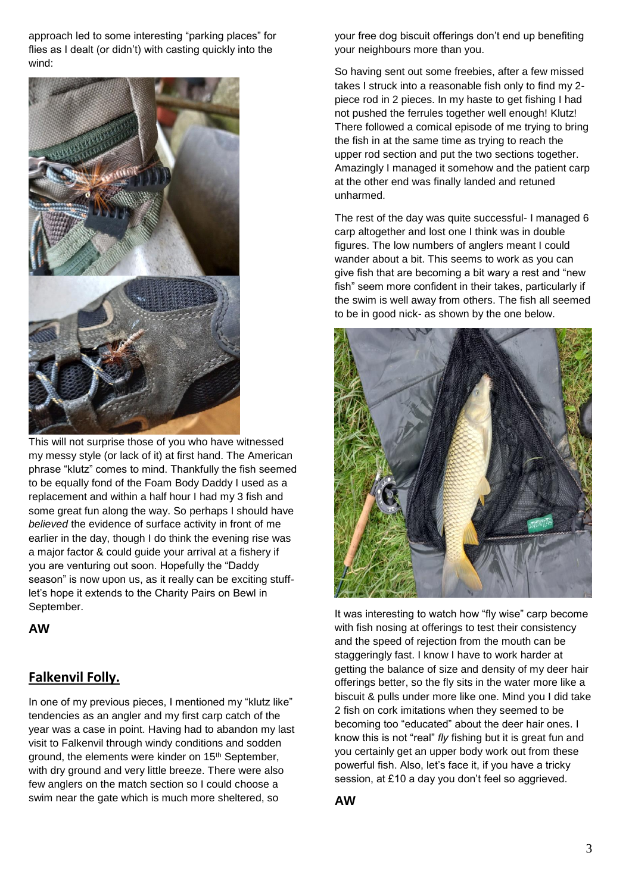approach led to some interesting "parking places" for flies as I dealt (or didn't) with casting quickly into the wind:



This will not surprise those of you who have witnessed my messy style (or lack of it) at first hand. The American phrase "klutz" comes to mind. Thankfully the fish seemed to be equally fond of the Foam Body Daddy I used as a replacement and within a half hour I had my 3 fish and some great fun along the way. So perhaps I should have *believed* the evidence of surface activity in front of me earlier in the day, though I do think the evening rise was a major factor & could guide your arrival at a fishery if you are venturing out soon. Hopefully the "Daddy season" is now upon us, as it really can be exciting stufflet's hope it extends to the Charity Pairs on Bewl in September.

**AW**

# **Falkenvil Folly.**

In one of my previous pieces, I mentioned my "klutz like" tendencies as an angler and my first carp catch of the year was a case in point. Having had to abandon my last visit to Falkenvil through windy conditions and sodden ground, the elements were kinder on 15<sup>th</sup> September, with dry ground and very little breeze. There were also few anglers on the match section so I could choose a swim near the gate which is much more sheltered, so

your free dog biscuit offerings don't end up benefiting your neighbours more than you.

So having sent out some freebies, after a few missed takes I struck into a reasonable fish only to find my 2 piece rod in 2 pieces. In my haste to get fishing I had not pushed the ferrules together well enough! Klutz! There followed a comical episode of me trying to bring the fish in at the same time as trying to reach the upper rod section and put the two sections together. Amazingly I managed it somehow and the patient carp at the other end was finally landed and retuned unharmed.

The rest of the day was quite successful- I managed 6 carp altogether and lost one I think was in double figures. The low numbers of anglers meant I could wander about a bit. This seems to work as you can give fish that are becoming a bit wary a rest and "new fish" seem more confident in their takes, particularly if the swim is well away from others. The fish all seemed to be in good nick- as shown by the one below.



It was interesting to watch how "fly wise" carp become with fish nosing at offerings to test their consistency and the speed of rejection from the mouth can be staggeringly fast. I know I have to work harder at getting the balance of size and density of my deer hair offerings better, so the fly sits in the water more like a biscuit & pulls under more like one. Mind you I did take 2 fish on cork imitations when they seemed to be becoming too "educated" about the deer hair ones. I know this is not "real" *fly* fishing but it is great fun and you certainly get an upper body work out from these powerful fish. Also, let's face it, if you have a tricky session, at £10 a day you don't feel so aggrieved.